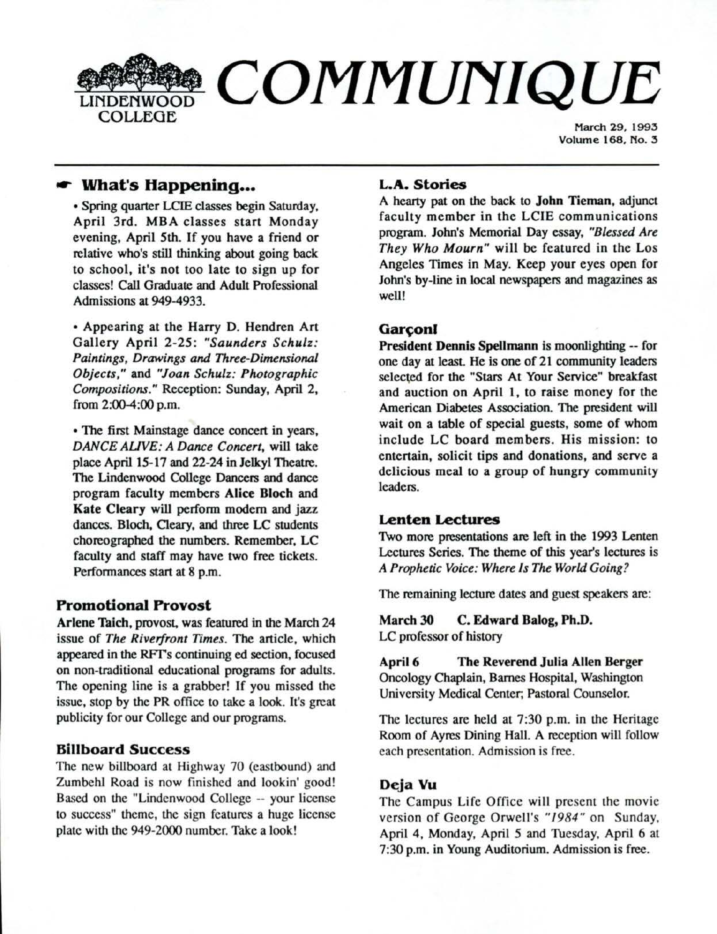

March 29, 1993 Volume 168, No. 3

# ,... **What's Happening •••**

• Spring quarter LCIE classes begin Saturday, April 3rd. MBA classes start Monday evening, April 5th. If you have a friend or relative who's still thinking about going back to school, it's not too late to sign up for classes! Call Graduate and Adult Professional Admissions at 949-4933.

• Appearing at the Harry D. Hendren Art Gallery April 2-25: *"Saunders Schulz: Paintings, Drawings and Three-Dimensional Objects,"* and *"Joan Schulz: Photographic Compositions."* Reception: Sunday, April 2, from 2:00-4:00 p.m.

• The first Mainstage dance concert in years, *DANCE AUVE: A Dance Concert,* will take place April 15-17 and 22-24 in Jelkyl Theatre. The Lindenwood College Dancers and dance program faculty members **Alice Bloch** and **Kate Cleary will** perform modem and jazz dances. Bloch, Cleary, and three LC students choreographed the numbers. Remember, LC faculty and staff may have two free tickets. Performances start at 8 p.m.

## **Promotional Provost**

Arlene Taich, provost, was featured in the March 24 issue of *The Riverfront Times.* The article, which appeared in the RFTs continuing ed section. focused on non-traditional educational programs for adults. The opening line is a grabber! If you missed the issue, stop by the PR office to take a look. It's great publicity for our College and our programs.

## **Billboard Success**

The new billboard at Highway 70 (eastbound) and Zumbehl Road is now finished and lookin' good! Based on the "Lindenwood College -- your license to success" theme, the sign features a huge license plate with the 949-2000 number. Take a look!

#### **L.A. Stories**

A hearty pat on the back to John Tieman, adjunct faculty member in the LCIE communications program. John's Memorial Day essay, *"Blessed Are They Who Mourn"* will be featured in the Los Angeles Times in May. Keep your eyes open for John's by-line in local newspapers and magazines as well!

## Garconl

**President Dennis Spellmann** is moonlighting -- for one day at least. He is one of 21 community leaders selected for the "Stars At Your Service" breakfast and auction on April 1, to raise money for the American Diabetes Association. The president will wait on a table of special guests, some of whom inc lude LC board members. His mission: to entertain, solicit tips and donations, and serve a delicious meal to a group of hungry community leaders.

### **Lenten Lectures**

Two more presentations are left in the 1993 Lenten Lectures Series. The theme of this year's lectures is *A Prophetic Voice: Where Is The World Going?* 

The remaining lecture dates and guest speakers are:

**March 30 C. Edward Balog, Ph.D.**  LC professor of history

**April 6 The Reverend Julia Allen Berger**  Oncology Chaplain, Barnes Hospital, Washington University Medical Center, Pastoral Counselor.

The lectures are held at 7:30 p.m. in the Heritage Room of Ayres Dining Hall. A reception will follow each presentation. Admission is free.

## **DeJa Vu**

The Campus Life Office will present the movie version of George Orwell's "1984" on Sunday, April 4, Monday, April *5* and Tuesday, April 6 at 7:30 p.m. in Young Auditorium. Admission is free.